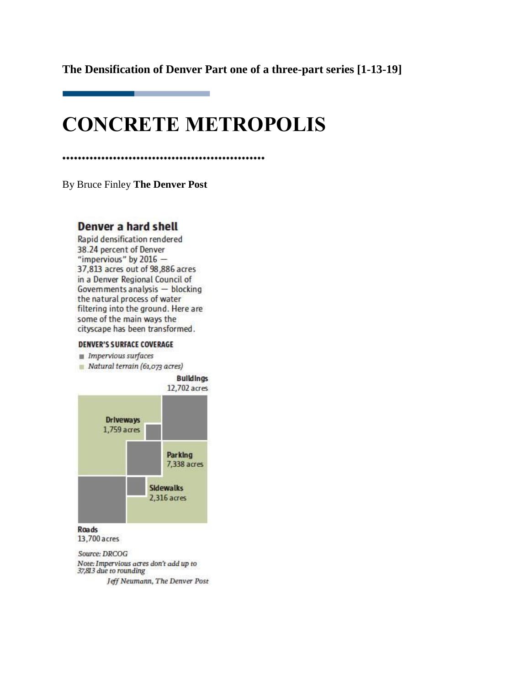# **CONCRETE METROPOLIS**

By Bruce Finley **The Denver Post**

### Denver a hard shell

Rapid densification rendered 38.24 percent of Denver "impervious" by 2016 -37,813 acres out of 98,886 acres in a Denver Regional Council of Governments analysis - blocking the natural process of water filtering into the ground. Here are some of the main ways the cityscape has been transformed.

#### **DENVER'S SURFACE COVERAGE**

- $\blacksquare$  Impervious surfaces
- Natural terrain (61,073 acres)



13,700 acres

Source: DRCOG Note: Impervious acres don't add up to 37,813 due to rounding Jeff Neumann, The Denver Post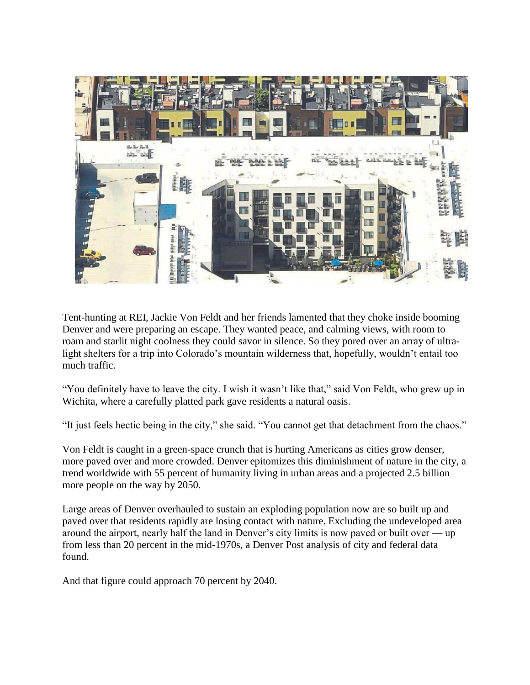

Tent-hunting at REI, Jackie Von Feldt and her friends lamented that they choke inside booming Denver and were preparing an escape. They wanted peace, and calming views, with room to roam and starlit night coolness they could savor in silence. So they pored over an array of ultralight shelters for a trip into Colorado's mountain wilderness that, hopefully, wouldn't entail too much traffic.

"You definitely have to leave the city. I wish it wasn't like that," said Von Feldt, who grew up in Wichita, where a carefully platted park gave residents a natural oasis.

"It just feels hectic being in the city," she said. "You cannot get that detachment from the chaos."

Von Feldt is caught in a green-space crunch that is hurting Americans as cities grow denser, more paved over and more crowded. Denver epitomizes this diminishment of nature in the city, a trend worldwide with 55 percent of humanity living in urban areas and a projected 2.5 billion more people on the way by 2050.

Large areas of Denver overhauled to sustain an exploding population now are so built up and paved over that residents rapidly are losing contact with nature. Excluding the undeveloped area around the airport, nearly half the land in Denver's city limits is now paved or built over — up from less than 20 percent in the mid-1970s, a Denver Post analysis of city and federal data found.

And that figure could approach 70 percent by 2040.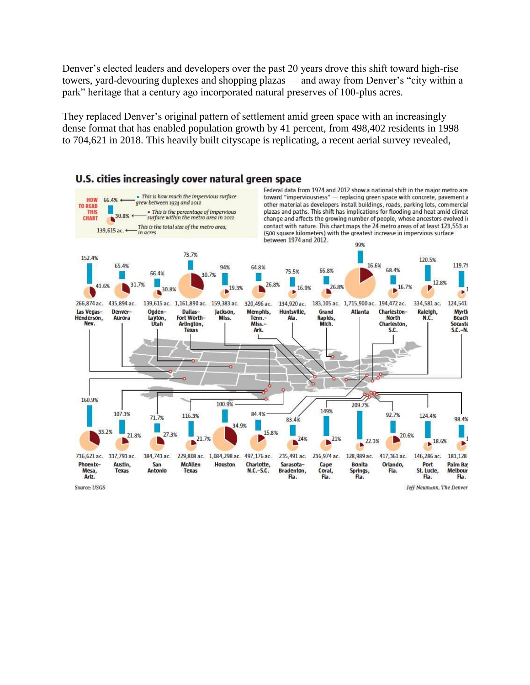Denver's elected leaders and developers over the past 20 years drove this shift toward high-rise towers, yard-devouring duplexes and shopping plazas — and away from Denver's "city within a park" heritage that a century ago incorporated natural preserves of 100-plus acres.

They replaced Denver's original pattern of settlement amid green space with an increasingly dense format that has enabled population growth by 41 percent, from 498,402 residents in 1998 to 704,621 in 2018. This heavily built cityscape is replicating, a recent aerial survey revealed,

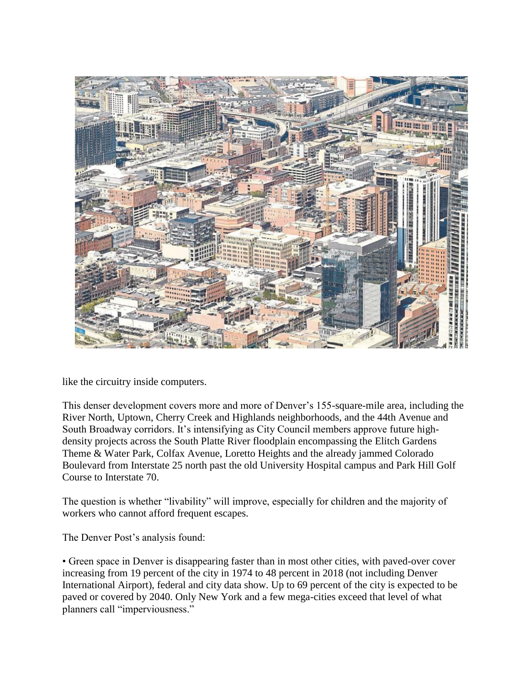

like the circuitry inside computers.

This denser development covers more and more of Denver's 155-square-mile area, including the River North, Uptown, Cherry Creek and Highlands neighborhoods, and the 44th Avenue and South Broadway corridors. It's intensifying as City Council members approve future highdensity projects across the South Platte River floodplain encompassing the Elitch Gardens Theme & Water Park, Colfax Avenue, Loretto Heights and the already jammed Colorado Boulevard from Interstate 25 north past the old University Hospital campus and Park Hill Golf Course to Interstate 70.

The question is whether "livability" will improve, especially for children and the majority of workers who cannot afford frequent escapes.

The Denver Post's analysis found:

• Green space in Denver is disappearing faster than in most other cities, with paved-over cover increasing from 19 percent of the city in 1974 to 48 percent in 2018 (not including Denver International Airport), federal and city data show. Up to 69 percent of the city is expected to be paved or covered by 2040. Only New York and a few mega-cities exceed that level of what planners call "imperviousness."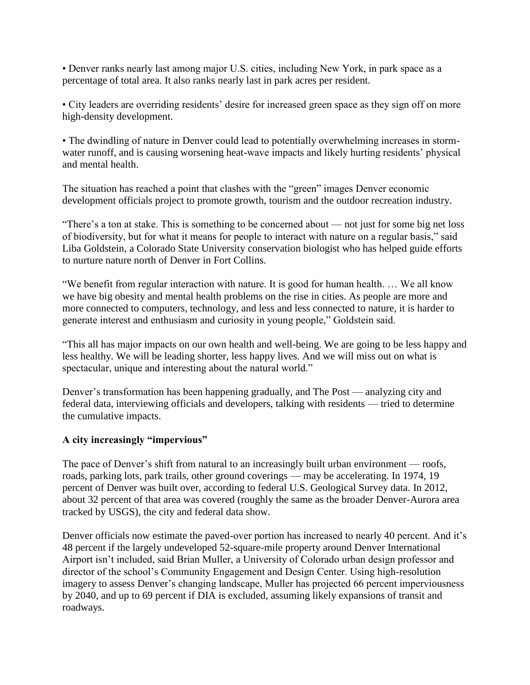• Denver ranks nearly last among major U.S. cities, including New York, in park space as a percentage of total area. It also ranks nearly last in park acres per resident.

• City leaders are overriding residents' desire for increased green space as they sign off on more high-density development.

• The dwindling of nature in Denver could lead to potentially overwhelming increases in stormwater runoff, and is causing worsening heat-wave impacts and likely hurting residents' physical and mental health.

The situation has reached a point that clashes with the "green" images Denver economic development officials project to promote growth, tourism and the outdoor recreation industry.

"There's a ton at stake. This is something to be concerned about — not just for some big net loss of biodiversity, but for what it means for people to interact with nature on a regular basis," said Liba Goldstein, a Colorado State University conservation biologist who has helped guide efforts to nurture nature north of Denver in Fort Collins.

"We benefit from regular interaction with nature. It is good for human health. … We all know we have big obesity and mental health problems on the rise in cities. As people are more and more connected to computers, technology, and less and less connected to nature, it is harder to generate interest and enthusiasm and curiosity in young people," Goldstein said.

"This all has major impacts on our own health and well-being. We are going to be less happy and less healthy. We will be leading shorter, less happy lives. And we will miss out on what is spectacular, unique and interesting about the natural world."

Denver's transformation has been happening gradually, and The Post — analyzing city and federal data, interviewing officials and developers, talking with residents — tried to determine the cumulative impacts.

### **A city increasingly "impervious"**

The pace of Denver's shift from natural to an increasingly built urban environment — roofs, roads, parking lots, park trails, other ground coverings — may be accelerating. In 1974, 19 percent of Denver was built over, according to federal U.S. Geological Survey data. In 2012, about 32 percent of that area was covered (roughly the same as the broader Denver-Aurora area tracked by USGS), the city and federal data show.

Denver officials now estimate the paved-over portion has increased to nearly 40 percent. And it's 48 percent if the largely undeveloped 52-square-mile property around Denver International Airport isn't included, said Brian Muller, a University of Colorado urban design professor and director of the school's Community Engagement and Design Center. Using high-resolution imagery to assess Denver's changing landscape, Muller has projected 66 percent imperviousness by 2040, and up to 69 percent if DIA is excluded, assuming likely expansions of transit and roadways.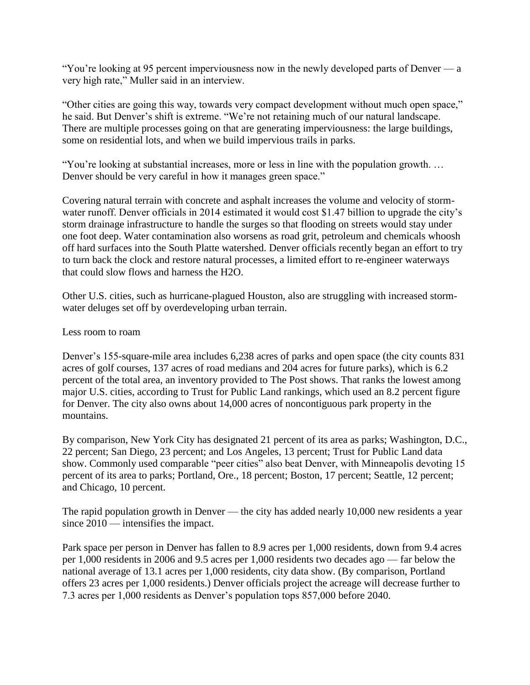"You're looking at 95 percent imperviousness now in the newly developed parts of Denver — a very high rate," Muller said in an interview.

"Other cities are going this way, towards very compact development without much open space," he said. But Denver's shift is extreme. "We're not retaining much of our natural landscape. There are multiple processes going on that are generating imperviousness: the large buildings, some on residential lots, and when we build impervious trails in parks.

"You're looking at substantial increases, more or less in line with the population growth. … Denver should be very careful in how it manages green space."

Covering natural terrain with concrete and asphalt increases the volume and velocity of stormwater runoff. Denver officials in 2014 estimated it would cost \$1.47 billion to upgrade the city's storm drainage infrastructure to handle the surges so that flooding on streets would stay under one foot deep. Water contamination also worsens as road grit, petroleum and chemicals whoosh off hard surfaces into the South Platte watershed. Denver officials recently began an effort to try to turn back the clock and restore natural processes, a limited effort to re-engineer waterways that could slow flows and harness the H2O.

Other U.S. cities, such as hurricane-plagued Houston, also are struggling with increased stormwater deluges set off by overdeveloping urban terrain.

#### Less room to roam

Denver's 155-square-mile area includes 6,238 acres of parks and open space (the city counts 831 acres of golf courses, 137 acres of road medians and 204 acres for future parks), which is 6.2 percent of the total area, an inventory provided to The Post shows. That ranks the lowest among major U.S. cities, according to Trust for Public Land rankings, which used an 8.2 percent figure for Denver. The city also owns about 14,000 acres of noncontiguous park property in the mountains.

By comparison, New York City has designated 21 percent of its area as parks; Washington, D.C., 22 percent; San Diego, 23 percent; and Los Angeles, 13 percent; Trust for Public Land data show. Commonly used comparable "peer cities" also beat Denver, with Minneapolis devoting 15 percent of its area to parks; Portland, Ore., 18 percent; Boston, 17 percent; Seattle, 12 percent; and Chicago, 10 percent.

The rapid population growth in Denver — the city has added nearly 10,000 new residents a year since 2010 — intensifies the impact.

Park space per person in Denver has fallen to 8.9 acres per 1,000 residents, down from 9.4 acres per 1,000 residents in 2006 and 9.5 acres per 1,000 residents two decades ago — far below the national average of 13.1 acres per 1,000 residents, city data show. (By comparison, Portland offers 23 acres per 1,000 residents.) Denver officials project the acreage will decrease further to 7.3 acres per 1,000 residents as Denver's population tops 857,000 before 2040.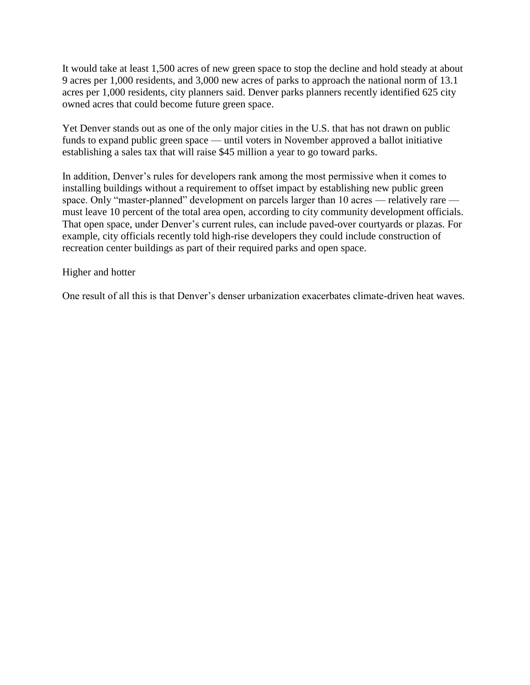It would take at least 1,500 acres of new green space to stop the decline and hold steady at about 9 acres per 1,000 residents, and 3,000 new acres of parks to approach the national norm of 13.1 acres per 1,000 residents, city planners said. Denver parks planners recently identified 625 city owned acres that could become future green space.

Yet Denver stands out as one of the only major cities in the U.S. that has not drawn on public funds to expand public green space — until voters in November approved a ballot initiative establishing a sales tax that will raise \$45 million a year to go toward parks.

In addition, Denver's rules for developers rank among the most permissive when it comes to installing buildings without a requirement to offset impact by establishing new public green space. Only "master-planned" development on parcels larger than 10 acres — relatively rare – must leave 10 percent of the total area open, according to city community development officials. That open space, under Denver's current rules, can include paved-over courtyards or plazas. For example, city officials recently told high-rise developers they could include construction of recreation center buildings as part of their required parks and open space.

Higher and hotter

One result of all this is that Denver's denser urbanization exacerbates climate-driven heat waves.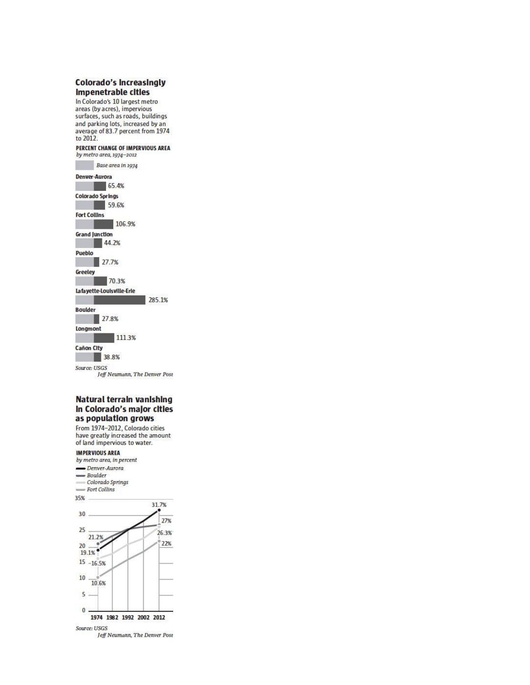#### **Colorado's Increasingly Impenetrable cities**

In Colorado's 10 largest metro areas (by acres), impervious surfaces, such as roads, buildings and parking lots, increased by an<br>average of 83.7 percent from 1974 to 2012.

#### PERCENT CHANGE OF IMPERVIOUS AREA by metro area, 1974-2012



#### Natural terraln vanishing In Colorado's major cities as population grows

From 1974-2012, Colorado cities have greatly increased the amount of land impervious to water.

**IMPERVIOUS AREA** 

by metro area, in percent Denver-Aurora  $\longrightarrow$  Boulder - Colorado Springs Fort Collins



Source: USGS Jeff Neumann, The Denver Post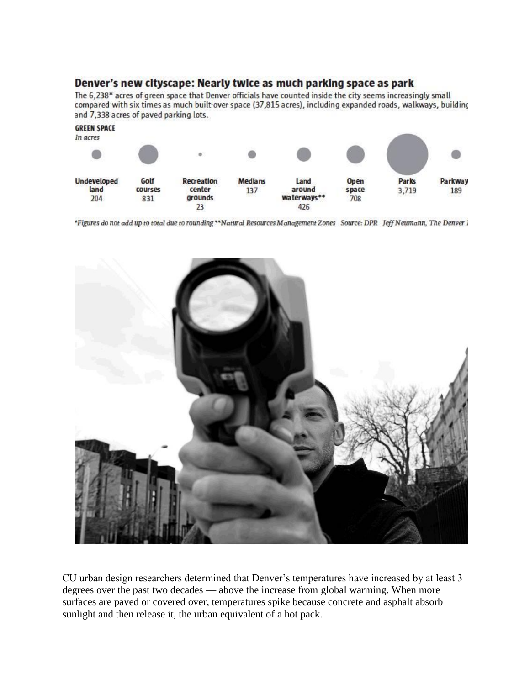### Denver's new cityscape: Nearly twice as much parking space as park

The 6,238\* acres of green space that Denver officials have counted inside the city seems increasingly small compared with six times as much built-over space (37,815 acres), including expanded roads, walkways, building and 7,338 acres of paved parking lots.



\*Figures do not add up to total due to rounding \*\*Natural Resources Management Zones Source: DPR Jeff Neumann, The Denver 1



CU urban design researchers determined that Denver's temperatures have increased by at least 3 degrees over the past two decades — above the increase from global warming. When more surfaces are paved or covered over, temperatures spike because concrete and asphalt absorb sunlight and then release it, the urban equivalent of a hot pack.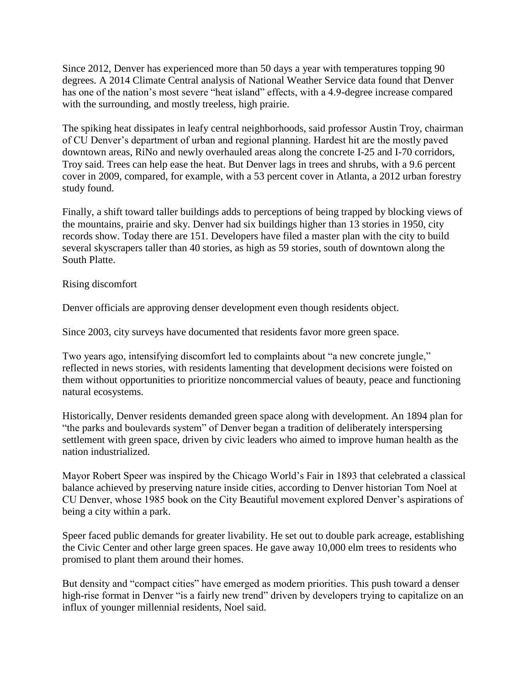Since 2012, Denver has experienced more than 50 days a year with temperatures topping 90 degrees. A 2014 Climate Central analysis of National Weather Service data found that Denver has one of the nation's most severe "heat island" effects, with a 4.9-degree increase compared with the surrounding, and mostly treeless, high prairie.

The spiking heat dissipates in leafy central neighborhoods, said professor Austin Troy, chairman of CU Denver's department of urban and regional planning. Hardest hit are the mostly paved downtown areas, RiNo and newly overhauled areas along the concrete I-25 and I-70 corridors, Troy said. Trees can help ease the heat. But Denver lags in trees and shrubs, with a 9.6 percent cover in 2009, compared, for example, with a 53 percent cover in Atlanta, a 2012 urban forestry study found.

Finally, a shift toward taller buildings adds to perceptions of being trapped by blocking views of the mountains, prairie and sky. Denver had six buildings higher than 13 stories in 1950, city records show. Today there are 151. Developers have filed a master plan with the city to build several skyscrapers taller than 40 stories, as high as 59 stories, south of downtown along the South Platte.

Rising discomfort

Denver officials are approving denser development even though residents object.

Since 2003, city surveys have documented that residents favor more green space.

Two years ago, intensifying discomfort led to complaints about "a new concrete jungle," reflected in news stories, with residents lamenting that development decisions were foisted on them without opportunities to prioritize noncommercial values of beauty, peace and functioning natural ecosystems.

Historically, Denver residents demanded green space along with development. An 1894 plan for "the parks and boulevards system" of Denver began a tradition of deliberately interspersing settlement with green space, driven by civic leaders who aimed to improve human health as the nation industrialized.

Mayor Robert Speer was inspired by the Chicago World's Fair in 1893 that celebrated a classical balance achieved by preserving nature inside cities, according to Denver historian Tom Noel at CU Denver, whose 1985 book on the City Beautiful movement explored Denver's aspirations of being a city within a park.

Speer faced public demands for greater livability. He set out to double park acreage, establishing the Civic Center and other large green spaces. He gave away 10,000 elm trees to residents who promised to plant them around their homes.

But density and "compact cities" have emerged as modern priorities. This push toward a denser high-rise format in Denver "is a fairly new trend" driven by developers trying to capitalize on an influx of younger millennial residents, Noel said.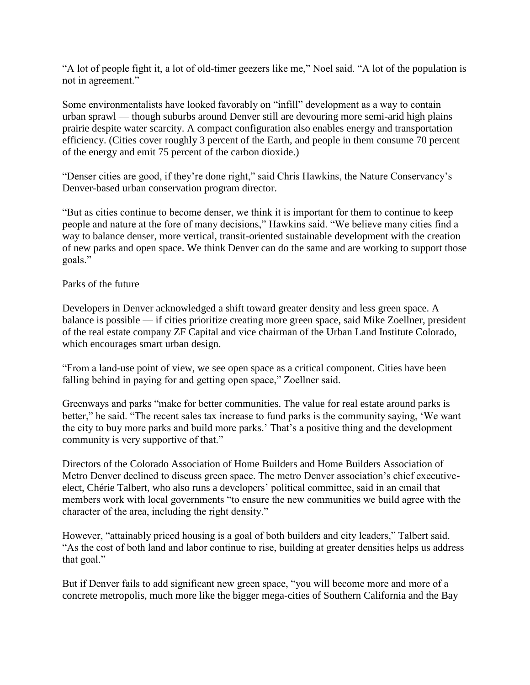"A lot of people fight it, a lot of old-timer geezers like me," Noel said. "A lot of the population is not in agreement."

Some environmentalists have looked favorably on "infill" development as a way to contain urban sprawl — though suburbs around Denver still are devouring more semi-arid high plains prairie despite water scarcity. A compact configuration also enables energy and transportation efficiency. (Cities cover roughly 3 percent of the Earth, and people in them consume 70 percent of the energy and emit 75 percent of the carbon dioxide.)

"Denser cities are good, if they're done right," said Chris Hawkins, the Nature Conservancy's Denver-based urban conservation program director.

"But as cities continue to become denser, we think it is important for them to continue to keep people and nature at the fore of many decisions," Hawkins said. "We believe many cities find a way to balance denser, more vertical, transit-oriented sustainable development with the creation of new parks and open space. We think Denver can do the same and are working to support those goals."

#### Parks of the future

Developers in Denver acknowledged a shift toward greater density and less green space. A balance is possible — if cities prioritize creating more green space, said Mike Zoellner, president of the real estate company ZF Capital and vice chairman of the Urban Land Institute Colorado, which encourages smart urban design.

"From a land-use point of view, we see open space as a critical component. Cities have been falling behind in paying for and getting open space," Zoellner said.

Greenways and parks "make for better communities. The value for real estate around parks is better," he said. "The recent sales tax increase to fund parks is the community saying, 'We want the city to buy more parks and build more parks.' That's a positive thing and the development community is very supportive of that."

Directors of the Colorado Association of Home Builders and Home Builders Association of Metro Denver declined to discuss green space. The metro Denver association's chief executiveelect, Chérie Talbert, who also runs a developers' political committee, said in an email that members work with local governments "to ensure the new communities we build agree with the character of the area, including the right density."

However, "attainably priced housing is a goal of both builders and city leaders," Talbert said. "As the cost of both land and labor continue to rise, building at greater densities helps us address that goal."

But if Denver fails to add significant new green space, "you will become more and more of a concrete metropolis, much more like the bigger mega-cities of Southern California and the Bay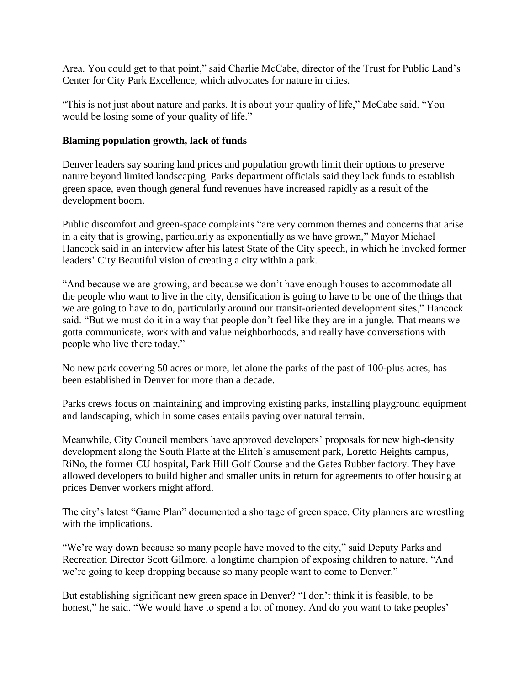Area. You could get to that point," said Charlie McCabe, director of the Trust for Public Land's Center for City Park Excellence, which advocates for nature in cities.

"This is not just about nature and parks. It is about your quality of life," McCabe said. "You would be losing some of your quality of life."

#### **Blaming population growth, lack of funds**

Denver leaders say soaring land prices and population growth limit their options to preserve nature beyond limited landscaping. Parks department officials said they lack funds to establish green space, even though general fund revenues have increased rapidly as a result of the development boom.

Public discomfort and green-space complaints "are very common themes and concerns that arise in a city that is growing, particularly as exponentially as we have grown," Mayor Michael Hancock said in an interview after his latest State of the City speech, in which he invoked former leaders' City Beautiful vision of creating a city within a park.

"And because we are growing, and because we don't have enough houses to accommodate all the people who want to live in the city, densification is going to have to be one of the things that we are going to have to do, particularly around our transit-oriented development sites," Hancock said. "But we must do it in a way that people don't feel like they are in a jungle. That means we gotta communicate, work with and value neighborhoods, and really have conversations with people who live there today."

No new park covering 50 acres or more, let alone the parks of the past of 100-plus acres, has been established in Denver for more than a decade.

Parks crews focus on maintaining and improving existing parks, installing playground equipment and landscaping, which in some cases entails paving over natural terrain.

Meanwhile, City Council members have approved developers' proposals for new high-density development along the South Platte at the Elitch's amusement park, Loretto Heights campus, RiNo, the former CU hospital, Park Hill Golf Course and the Gates Rubber factory. They have allowed developers to build higher and smaller units in return for agreements to offer housing at prices Denver workers might afford.

The city's latest "Game Plan" documented a shortage of green space. City planners are wrestling with the implications.

"We're way down because so many people have moved to the city," said Deputy Parks and Recreation Director Scott Gilmore, a longtime champion of exposing children to nature. "And we're going to keep dropping because so many people want to come to Denver."

But establishing significant new green space in Denver? "I don't think it is feasible, to be honest," he said. "We would have to spend a lot of money. And do you want to take peoples'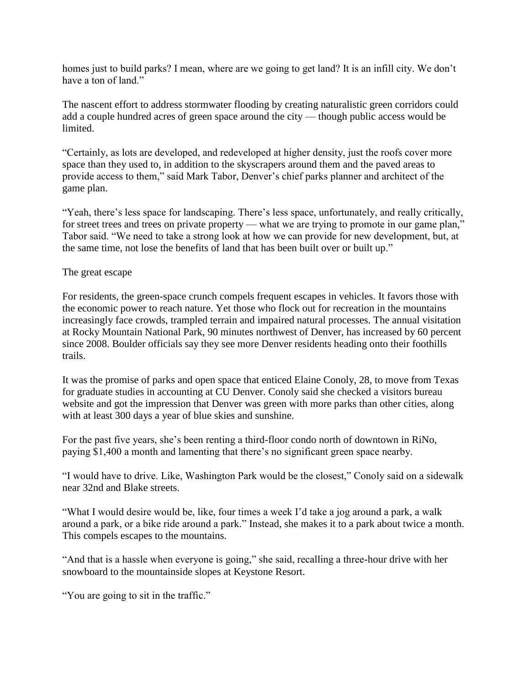homes just to build parks? I mean, where are we going to get land? It is an infill city. We don't have a ton of land."

The nascent effort to address stormwater flooding by creating naturalistic green corridors could add a couple hundred acres of green space around the city — though public access would be limited.

"Certainly, as lots are developed, and redeveloped at higher density, just the roofs cover more space than they used to, in addition to the skyscrapers around them and the paved areas to provide access to them," said Mark Tabor, Denver's chief parks planner and architect of the game plan.

"Yeah, there's less space for landscaping. There's less space, unfortunately, and really critically, for street trees and trees on private property — what we are trying to promote in our game plan," Tabor said. "We need to take a strong look at how we can provide for new development, but, at the same time, not lose the benefits of land that has been built over or built up."

#### The great escape

For residents, the green-space crunch compels frequent escapes in vehicles. It favors those with the economic power to reach nature. Yet those who flock out for recreation in the mountains increasingly face crowds, trampled terrain and impaired natural processes. The annual visitation at Rocky Mountain National Park, 90 minutes northwest of Denver, has increased by 60 percent since 2008. Boulder officials say they see more Denver residents heading onto their foothills trails.

It was the promise of parks and open space that enticed Elaine Conoly, 28, to move from Texas for graduate studies in accounting at CU Denver. Conoly said she checked a visitors bureau website and got the impression that Denver was green with more parks than other cities, along with at least 300 days a year of blue skies and sunshine.

For the past five years, she's been renting a third-floor condo north of downtown in RiNo, paying \$1,400 a month and lamenting that there's no significant green space nearby.

"I would have to drive. Like, Washington Park would be the closest," Conoly said on a sidewalk near 32nd and Blake streets.

"What I would desire would be, like, four times a week I'd take a jog around a park, a walk around a park, or a bike ride around a park." Instead, she makes it to a park about twice a month. This compels escapes to the mountains.

"And that is a hassle when everyone is going," she said, recalling a three-hour drive with her snowboard to the mountainside slopes at Keystone Resort.

"You are going to sit in the traffic."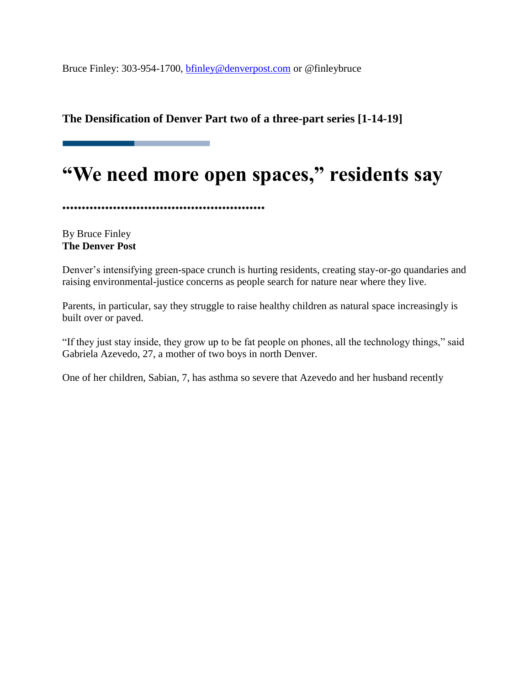Bruce Finley: 303-954-1700, [bfinley@denverpost.com](mailto:bfinley@denverpost.com) or @finleybruce

### **The Densification of Denver Part two of a three-part series [1-14-19]**

# **"We need more open spaces," residents say**

By Bruce Finley **The Denver Post**

Denver's intensifying green-space crunch is hurting residents, creating stay-or-go quandaries and raising environmental-justice concerns as people search for nature near where they live.

Parents, in particular, say they struggle to raise healthy children as natural space increasingly is built over or paved.

"If they just stay inside, they grow up to be fat people on phones, all the technology things," said Gabriela Azevedo, 27, a mother of two boys in north Denver.

One of her children, Sabian, 7, has asthma so severe that Azevedo and her husband recently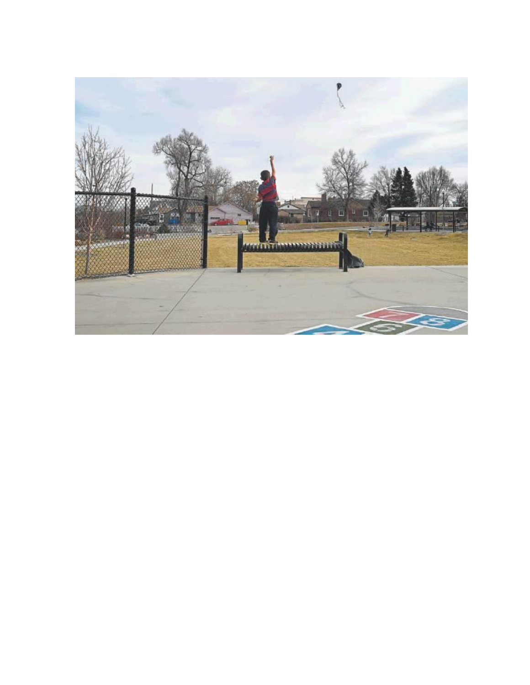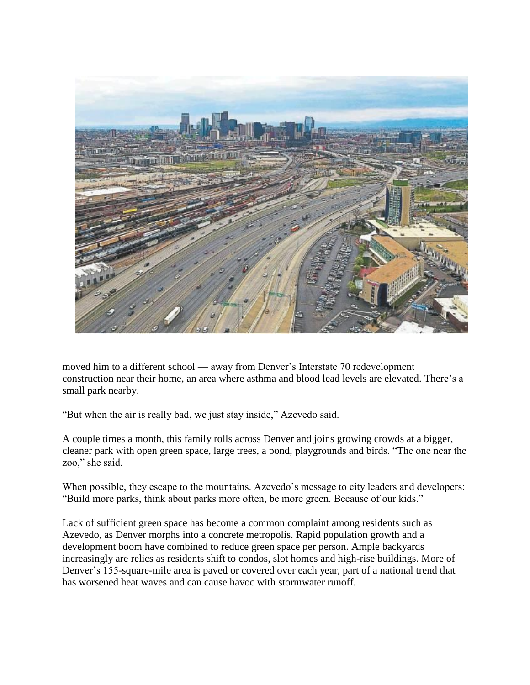

moved him to a different school — away from Denver's Interstate 70 redevelopment construction near their home, an area where asthma and blood lead levels are elevated. There's a small park nearby.

"But when the air is really bad, we just stay inside," Azevedo said.

A couple times a month, this family rolls across Denver and joins growing crowds at a bigger, cleaner park with open green space, large trees, a pond, playgrounds and birds. "The one near the zoo," she said.

When possible, they escape to the mountains. Azevedo's message to city leaders and developers: "Build more parks, think about parks more often, be more green. Because of our kids."

Lack of sufficient green space has become a common complaint among residents such as Azevedo, as Denver morphs into a concrete metropolis. Rapid population growth and a development boom have combined to reduce green space per person. Ample backyards increasingly are relics as residents shift to condos, slot homes and high-rise buildings. More of Denver's 155-square-mile area is paved or covered over each year, part of a national trend that has worsened heat waves and can cause havoc with stormwater runoff.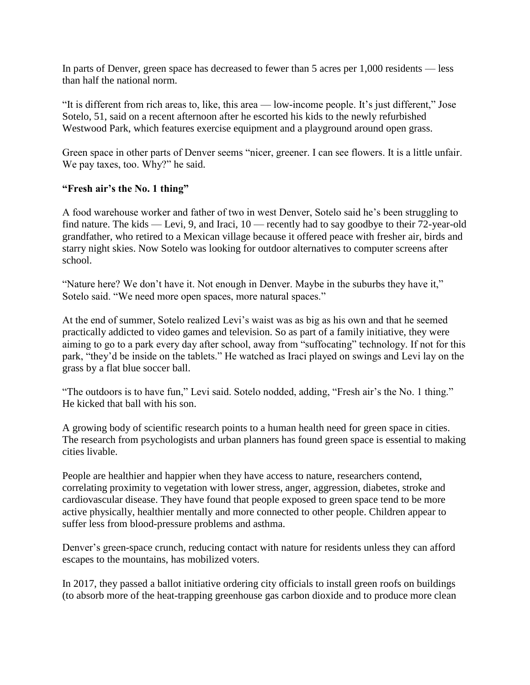In parts of Denver, green space has decreased to fewer than 5 acres per 1,000 residents — less than half the national norm.

"It is different from rich areas to, like, this area — low-income people. It's just different," Jose Sotelo, 51, said on a recent afternoon after he escorted his kids to the newly refurbished Westwood Park, which features exercise equipment and a playground around open grass.

Green space in other parts of Denver seems "nicer, greener. I can see flowers. It is a little unfair. We pay taxes, too. Why?" he said.

#### **"Fresh air's the No. 1 thing"**

A food warehouse worker and father of two in west Denver, Sotelo said he's been struggling to find nature. The kids — Levi, 9, and Iraci, 10 — recently had to say goodbye to their 72-year-old grandfather, who retired to a Mexican village because it offered peace with fresher air, birds and starry night skies. Now Sotelo was looking for outdoor alternatives to computer screens after school.

"Nature here? We don't have it. Not enough in Denver. Maybe in the suburbs they have it," Sotelo said. "We need more open spaces, more natural spaces."

At the end of summer, Sotelo realized Levi's waist was as big as his own and that he seemed practically addicted to video games and television. So as part of a family initiative, they were aiming to go to a park every day after school, away from "suffocating" technology. If not for this park, "they'd be inside on the tablets." He watched as Iraci played on swings and Levi lay on the grass by a flat blue soccer ball.

"The outdoors is to have fun," Levi said. Sotelo nodded, adding, "Fresh air's the No. 1 thing." He kicked that ball with his son.

A growing body of scientific research points to a human health need for green space in cities. The research from psychologists and urban planners has found green space is essential to making cities livable.

People are healthier and happier when they have access to nature, researchers contend, correlating proximity to vegetation with lower stress, anger, aggression, diabetes, stroke and cardiovascular disease. They have found that people exposed to green space tend to be more active physically, healthier mentally and more connected to other people. Children appear to suffer less from blood-pressure problems and asthma.

Denver's green-space crunch, reducing contact with nature for residents unless they can afford escapes to the mountains, has mobilized voters.

In 2017, they passed a ballot initiative ordering city officials to install green roofs on buildings (to absorb more of the heat-trapping greenhouse gas carbon dioxide and to produce more clean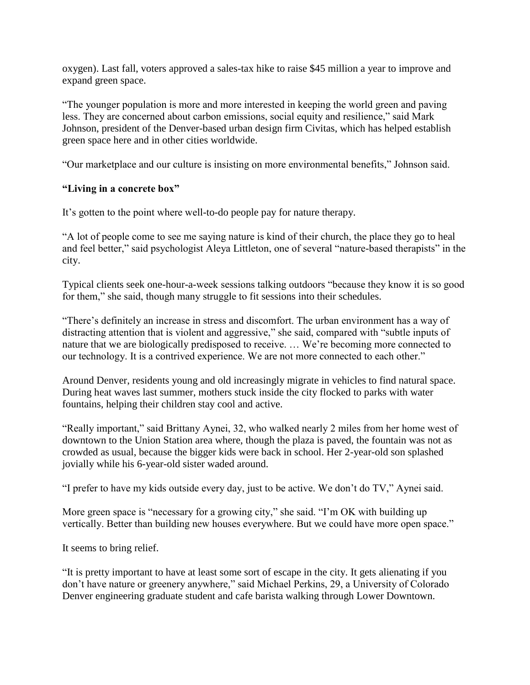oxygen). Last fall, voters approved a sales-tax hike to raise \$45 million a year to improve and expand green space.

"The younger population is more and more interested in keeping the world green and paving less. They are concerned about carbon emissions, social equity and resilience," said Mark Johnson, president of the Denver-based urban design firm Civitas, which has helped establish green space here and in other cities worldwide.

"Our marketplace and our culture is insisting on more environmental benefits," Johnson said.

#### **"Living in a concrete box"**

It's gotten to the point where well-to-do people pay for nature therapy.

"A lot of people come to see me saying nature is kind of their church, the place they go to heal and feel better," said psychologist Aleya Littleton, one of several "nature-based therapists" in the city.

Typical clients seek one-hour-a-week sessions talking outdoors "because they know it is so good for them," she said, though many struggle to fit sessions into their schedules.

"There's definitely an increase in stress and discomfort. The urban environment has a way of distracting attention that is violent and aggressive," she said, compared with "subtle inputs of nature that we are biologically predisposed to receive. … We're becoming more connected to our technology. It is a contrived experience. We are not more connected to each other."

Around Denver, residents young and old increasingly migrate in vehicles to find natural space. During heat waves last summer, mothers stuck inside the city flocked to parks with water fountains, helping their children stay cool and active.

"Really important," said Brittany Aynei, 32, who walked nearly 2 miles from her home west of downtown to the Union Station area where, though the plaza is paved, the fountain was not as crowded as usual, because the bigger kids were back in school. Her 2-year-old son splashed jovially while his 6-year-old sister waded around.

"I prefer to have my kids outside every day, just to be active. We don't do TV," Aynei said.

More green space is "necessary for a growing city," she said. "I'm OK with building up vertically. Better than building new houses everywhere. But we could have more open space."

It seems to bring relief.

"It is pretty important to have at least some sort of escape in the city. It gets alienating if you don't have nature or greenery anywhere," said Michael Perkins, 29, a University of Colorado Denver engineering graduate student and cafe barista walking through Lower Downtown.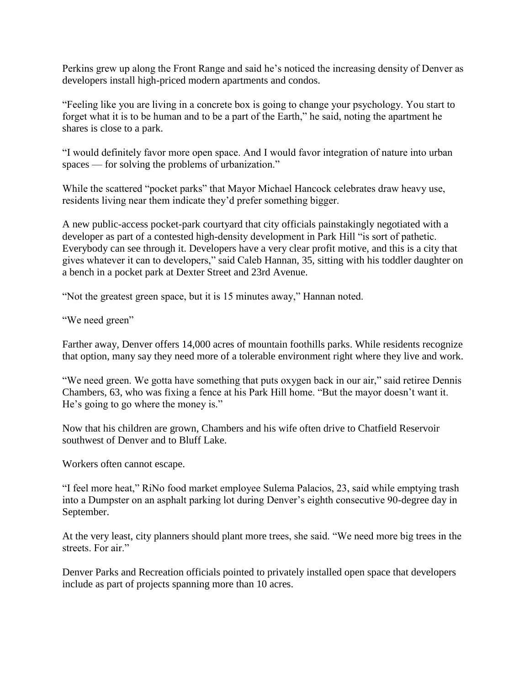Perkins grew up along the Front Range and said he's noticed the increasing density of Denver as developers install high-priced modern apartments and condos.

"Feeling like you are living in a concrete box is going to change your psychology. You start to forget what it is to be human and to be a part of the Earth," he said, noting the apartment he shares is close to a park.

"I would definitely favor more open space. And I would favor integration of nature into urban spaces — for solving the problems of urbanization."

While the scattered "pocket parks" that Mayor Michael Hancock celebrates draw heavy use, residents living near them indicate they'd prefer something bigger.

A new public-access pocket-park courtyard that city officials painstakingly negotiated with a developer as part of a contested high-density development in Park Hill "is sort of pathetic. Everybody can see through it. Developers have a very clear profit motive, and this is a city that gives whatever it can to developers," said Caleb Hannan, 35, sitting with his toddler daughter on a bench in a pocket park at Dexter Street and 23rd Avenue.

"Not the greatest green space, but it is 15 minutes away," Hannan noted.

"We need green"

Farther away, Denver offers 14,000 acres of mountain foothills parks. While residents recognize that option, many say they need more of a tolerable environment right where they live and work.

"We need green. We gotta have something that puts oxygen back in our air," said retiree Dennis Chambers, 63, who was fixing a fence at his Park Hill home. "But the mayor doesn't want it. He's going to go where the money is."

Now that his children are grown, Chambers and his wife often drive to Chatfield Reservoir southwest of Denver and to Bluff Lake.

Workers often cannot escape.

"I feel more heat," RiNo food market employee Sulema Palacios, 23, said while emptying trash into a Dumpster on an asphalt parking lot during Denver's eighth consecutive 90-degree day in September.

At the very least, city planners should plant more trees, she said. "We need more big trees in the streets. For air."

Denver Parks and Recreation officials pointed to privately installed open space that developers include as part of projects spanning more than 10 acres.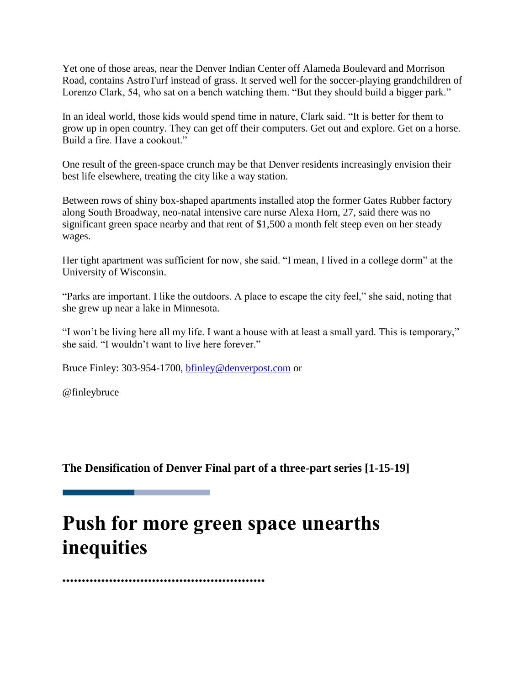Yet one of those areas, near the Denver Indian Center off Alameda Boulevard and Morrison Road, contains AstroTurf instead of grass. It served well for the soccer-playing grandchildren of Lorenzo Clark, 54, who sat on a bench watching them. "But they should build a bigger park."

In an ideal world, those kids would spend time in nature, Clark said. "It is better for them to grow up in open country. They can get off their computers. Get out and explore. Get on a horse. Build a fire. Have a cookout."

One result of the green-space crunch may be that Denver residents increasingly envision their best life elsewhere, treating the city like a way station.

Between rows of shiny box-shaped apartments installed atop the former Gates Rubber factory along South Broadway, neo-natal intensive care nurse Alexa Horn, 27, said there was no significant green space nearby and that rent of \$1,500 a month felt steep even on her steady wages.

Her tight apartment was sufficient for now, she said. "I mean, I lived in a college dorm" at the University of Wisconsin.

"Parks are important. I like the outdoors. A place to escape the city feel," she said, noting that she grew up near a lake in Minnesota.

"I won't be living here all my life. I want a house with at least a small yard. This is temporary," she said. "I wouldn't want to live here forever."

Bruce Finley: 303-954-1700, [bfinley@denverpost.com](mailto:bfinley@denverpost.com) or

@finleybruce

**The Densification of Denver Final part of a three-part series [1-15-19]**

## **Push for more green space unearths inequities**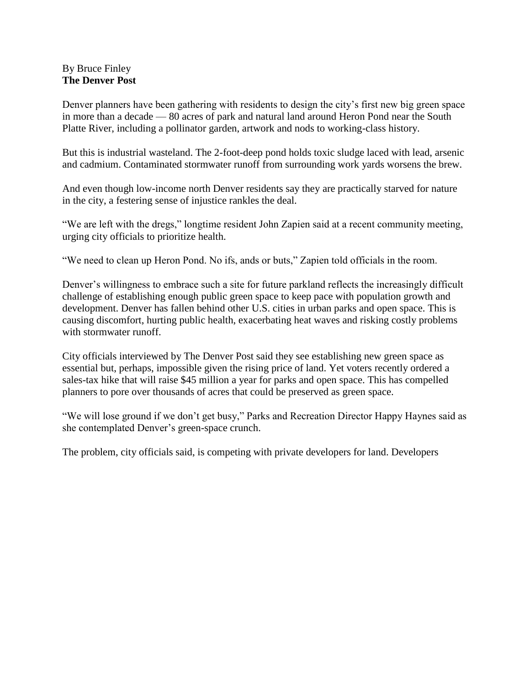### By Bruce Finley **The Denver Post**

Denver planners have been gathering with residents to design the city's first new big green space in more than a decade — 80 acres of park and natural land around Heron Pond near the South Platte River, including a pollinator garden, artwork and nods to working-class history.

But this is industrial wasteland. The 2-foot-deep pond holds toxic sludge laced with lead, arsenic and cadmium. Contaminated stormwater runoff from surrounding work yards worsens the brew.

And even though low-income north Denver residents say they are practically starved for nature in the city, a festering sense of injustice rankles the deal.

"We are left with the dregs," longtime resident John Zapien said at a recent community meeting, urging city officials to prioritize health.

"We need to clean up Heron Pond. No ifs, ands or buts," Zapien told officials in the room.

Denver's willingness to embrace such a site for future parkland reflects the increasingly difficult challenge of establishing enough public green space to keep pace with population growth and development. Denver has fallen behind other U.S. cities in urban parks and open space. This is causing discomfort, hurting public health, exacerbating heat waves and risking costly problems with stormwater runoff.

City officials interviewed by The Denver Post said they see establishing new green space as essential but, perhaps, impossible given the rising price of land. Yet voters recently ordered a sales-tax hike that will raise \$45 million a year for parks and open space. This has compelled planners to pore over thousands of acres that could be preserved as green space.

"We will lose ground if we don't get busy," Parks and Recreation Director Happy Haynes said as she contemplated Denver's green-space crunch.

The problem, city officials said, is competing with private developers for land. Developers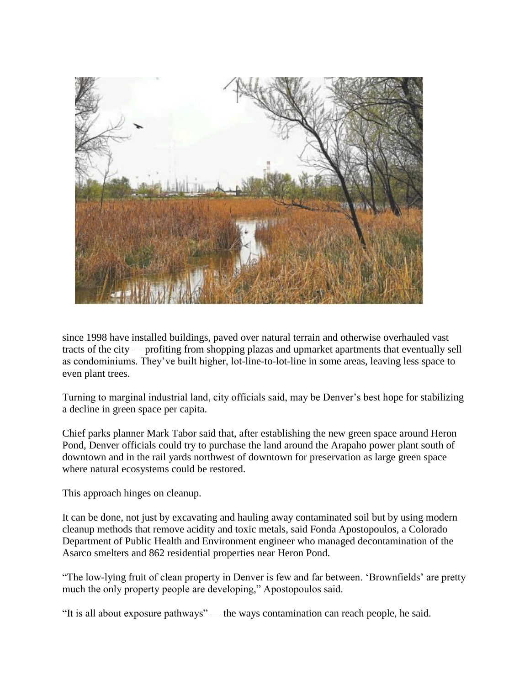

since 1998 have installed buildings, paved over natural terrain and otherwise overhauled vast tracts of the city — profiting from shopping plazas and upmarket apartments that eventually sell as condominiums. They've built higher, lot-line-to-lot-line in some areas, leaving less space to even plant trees.

Turning to marginal industrial land, city officials said, may be Denver's best hope for stabilizing a decline in green space per capita.

Chief parks planner Mark Tabor said that, after establishing the new green space around Heron Pond, Denver officials could try to purchase the land around the Arapaho power plant south of downtown and in the rail yards northwest of downtown for preservation as large green space where natural ecosystems could be restored.

This approach hinges on cleanup.

It can be done, not just by excavating and hauling away contaminated soil but by using modern cleanup methods that remove acidity and toxic metals, said Fonda Apostopoulos, a Colorado Department of Public Health and Environment engineer who managed decontamination of the Asarco smelters and 862 residential properties near Heron Pond.

"The low-lying fruit of clean property in Denver is few and far between. 'Brownfields' are pretty much the only property people are developing," Apostopoulos said.

"It is all about exposure pathways" — the ways contamination can reach people, he said.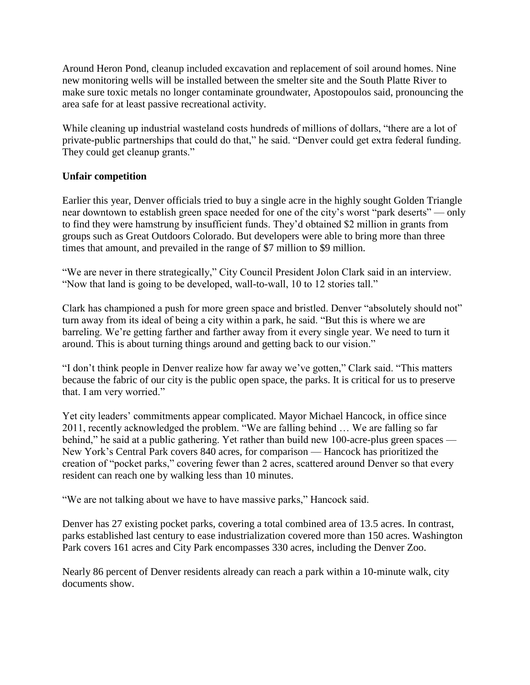Around Heron Pond, cleanup included excavation and replacement of soil around homes. Nine new monitoring wells will be installed between the smelter site and the South Platte River to make sure toxic metals no longer contaminate groundwater, Apostopoulos said, pronouncing the area safe for at least passive recreational activity.

While cleaning up industrial wasteland costs hundreds of millions of dollars, "there are a lot of private-public partnerships that could do that," he said. "Denver could get extra federal funding. They could get cleanup grants."

### **Unfair competition**

Earlier this year, Denver officials tried to buy a single acre in the highly sought Golden Triangle near downtown to establish green space needed for one of the city's worst "park deserts" — only to find they were hamstrung by insufficient funds. They'd obtained \$2 million in grants from groups such as Great Outdoors Colorado. But developers were able to bring more than three times that amount, and prevailed in the range of \$7 million to \$9 million.

"We are never in there strategically," City Council President Jolon Clark said in an interview. "Now that land is going to be developed, wall-to-wall, 10 to 12 stories tall."

Clark has championed a push for more green space and bristled. Denver "absolutely should not" turn away from its ideal of being a city within a park, he said. "But this is where we are barreling. We're getting farther and farther away from it every single year. We need to turn it around. This is about turning things around and getting back to our vision."

"I don't think people in Denver realize how far away we've gotten," Clark said. "This matters because the fabric of our city is the public open space, the parks. It is critical for us to preserve that. I am very worried."

Yet city leaders' commitments appear complicated. Mayor Michael Hancock, in office since 2011, recently acknowledged the problem. "We are falling behind … We are falling so far behind," he said at a public gathering. Yet rather than build new 100-acre-plus green spaces — New York's Central Park covers 840 acres, for comparison — Hancock has prioritized the creation of "pocket parks," covering fewer than 2 acres, scattered around Denver so that every resident can reach one by walking less than 10 minutes.

"We are not talking about we have to have massive parks," Hancock said.

Denver has 27 existing pocket parks, covering a total combined area of 13.5 acres. In contrast, parks established last century to ease industrialization covered more than 150 acres. Washington Park covers 161 acres and City Park encompasses 330 acres, including the Denver Zoo.

Nearly 86 percent of Denver residents already can reach a park within a 10-minute walk, city documents show.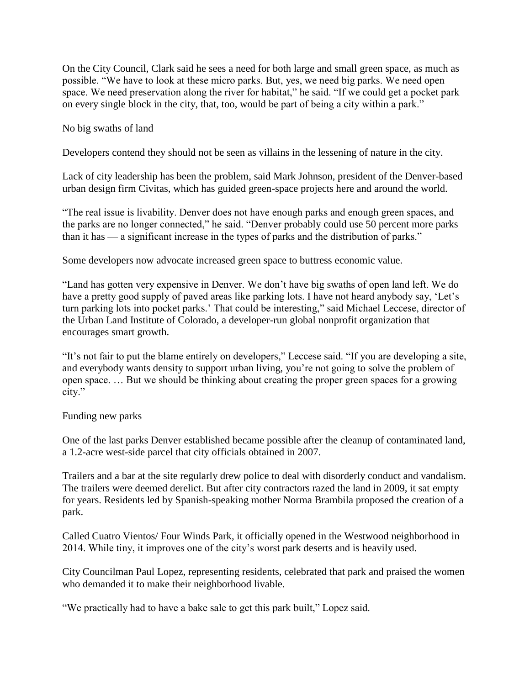On the City Council, Clark said he sees a need for both large and small green space, as much as possible. "We have to look at these micro parks. But, yes, we need big parks. We need open space. We need preservation along the river for habitat," he said. "If we could get a pocket park on every single block in the city, that, too, would be part of being a city within a park."

No big swaths of land

Developers contend they should not be seen as villains in the lessening of nature in the city.

Lack of city leadership has been the problem, said Mark Johnson, president of the Denver-based urban design firm Civitas, which has guided green-space projects here and around the world.

"The real issue is livability. Denver does not have enough parks and enough green spaces, and the parks are no longer connected," he said. "Denver probably could use 50 percent more parks than it has — a significant increase in the types of parks and the distribution of parks."

Some developers now advocate increased green space to buttress economic value.

"Land has gotten very expensive in Denver. We don't have big swaths of open land left. We do have a pretty good supply of paved areas like parking lots. I have not heard anybody say, 'Let's turn parking lots into pocket parks.' That could be interesting," said Michael Leccese, director of the Urban Land Institute of Colorado, a developer-run global nonprofit organization that encourages smart growth.

"It's not fair to put the blame entirely on developers," Leccese said. "If you are developing a site, and everybody wants density to support urban living, you're not going to solve the problem of open space. … But we should be thinking about creating the proper green spaces for a growing city."

Funding new parks

One of the last parks Denver established became possible after the cleanup of contaminated land, a 1.2-acre west-side parcel that city officials obtained in 2007.

Trailers and a bar at the site regularly drew police to deal with disorderly conduct and vandalism. The trailers were deemed derelict. But after city contractors razed the land in 2009, it sat empty for years. Residents led by Spanish-speaking mother Norma Brambila proposed the creation of a park.

Called Cuatro Vientos/ Four Winds Park, it officially opened in the Westwood neighborhood in 2014. While tiny, it improves one of the city's worst park deserts and is heavily used.

City Councilman Paul Lopez, representing residents, celebrated that park and praised the women who demanded it to make their neighborhood livable.

"We practically had to have a bake sale to get this park built," Lopez said.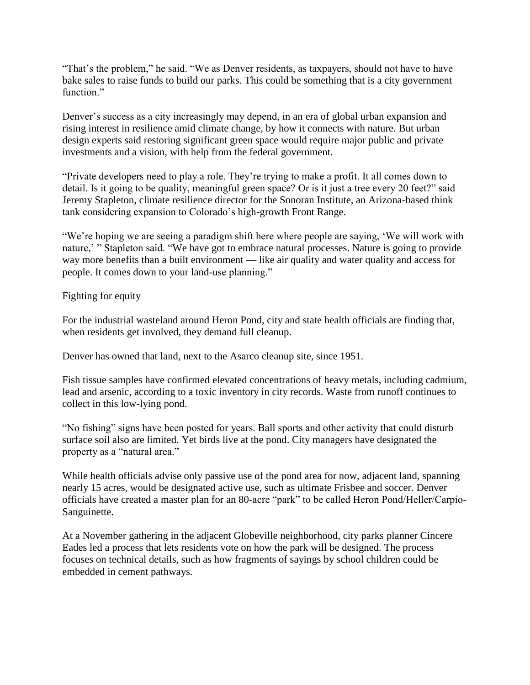"That's the problem," he said. "We as Denver residents, as taxpayers, should not have to have bake sales to raise funds to build our parks. This could be something that is a city government function."

Denver's success as a city increasingly may depend, in an era of global urban expansion and rising interest in resilience amid climate change, by how it connects with nature. But urban design experts said restoring significant green space would require major public and private investments and a vision, with help from the federal government.

"Private developers need to play a role. They're trying to make a profit. It all comes down to detail. Is it going to be quality, meaningful green space? Or is it just a tree every 20 feet?" said Jeremy Stapleton, climate resilience director for the Sonoran Institute, an Arizona-based think tank considering expansion to Colorado's high-growth Front Range.

"We're hoping we are seeing a paradigm shift here where people are saying, 'We will work with nature,' " Stapleton said. "We have got to embrace natural processes. Nature is going to provide way more benefits than a built environment — like air quality and water quality and access for people. It comes down to your land-use planning."

Fighting for equity

For the industrial wasteland around Heron Pond, city and state health officials are finding that, when residents get involved, they demand full cleanup.

Denver has owned that land, next to the Asarco cleanup site, since 1951.

Fish tissue samples have confirmed elevated concentrations of heavy metals, including cadmium, lead and arsenic, according to a toxic inventory in city records. Waste from runoff continues to collect in this low-lying pond.

"No fishing" signs have been posted for years. Ball sports and other activity that could disturb surface soil also are limited. Yet birds live at the pond. City managers have designated the property as a "natural area."

While health officials advise only passive use of the pond area for now, adjacent land, spanning nearly 15 acres, would be designated active use, such as ultimate Frisbee and soccer. Denver officials have created a master plan for an 80-acre "park" to be called Heron Pond/Heller/Carpio-Sanguinette.

At a November gathering in the adjacent Globeville neighborhood, city parks planner Cincere Eades led a process that lets residents vote on how the park will be designed. The process focuses on technical details, such as how fragments of sayings by school children could be embedded in cement pathways.